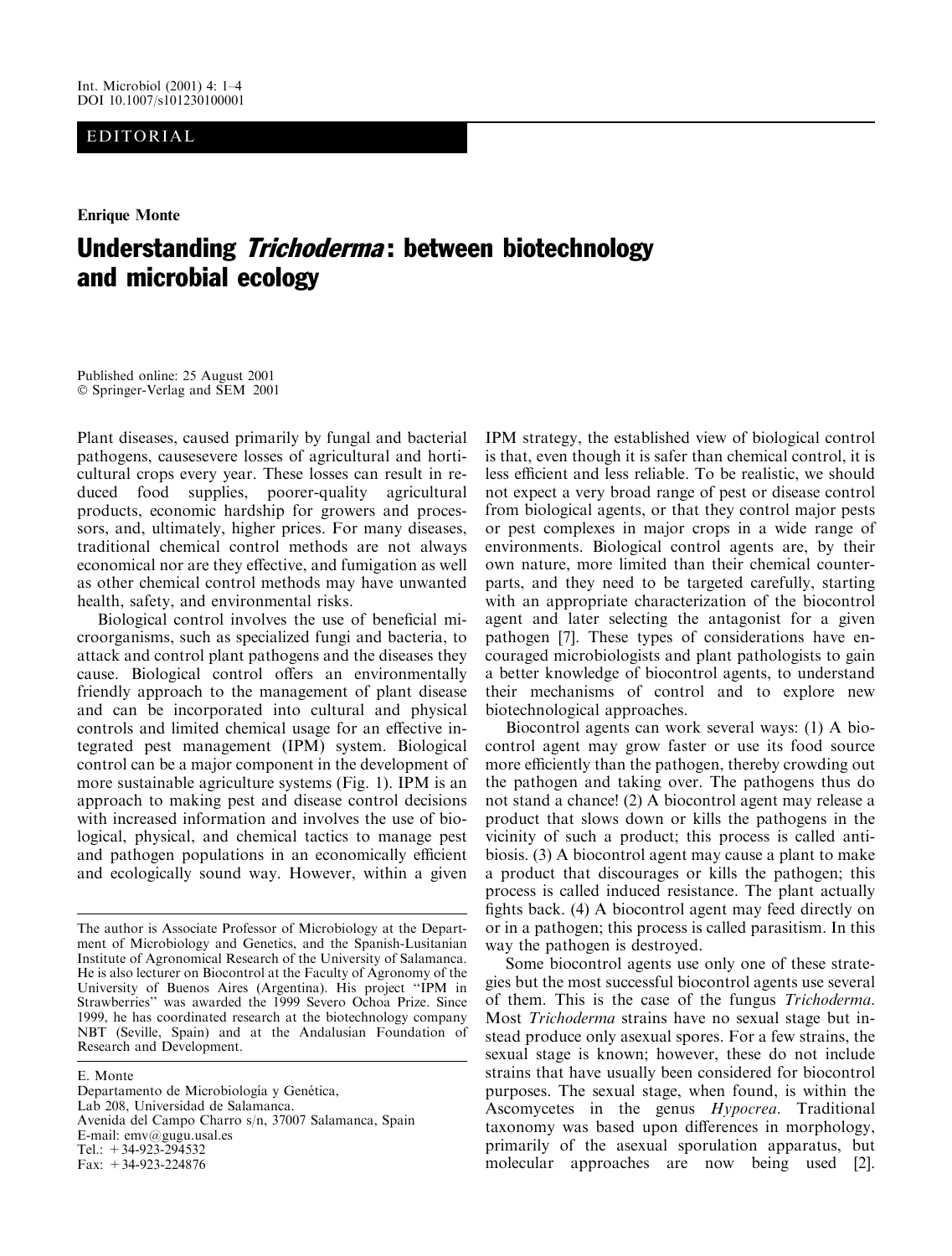## EDITORIAL

**Enrique Monte** 

# Understanding *Trichoderma*: between biotechnology and microbial ecology

Published online: 25 August 2001 © Springer-Verlag and SEM 2001

Plant diseases, caused primarily by fungal and bacterial pathogens, causes evere losses of agricultural and horticultural crops every year. These losses can result in reduced food supplies, poorer-quality agricultural products, economic hardship for growers and processors, and, ultimately, higher prices. For many diseases, traditional chemical control methods are not always economical nor are they effective, and fumigation as well as other chemical control methods may have unwanted health, safety, and environmental risks.

Biological control involves the use of beneficial microorganisms, such as specialized fungi and bacteria, to attack and control plant pathogens and the diseases they cause. Biological control offers an environmentally friendly approach to the management of plant disease and can be incorporated into cultural and physical controls and limited chemical usage for an effective integrated pest management (IPM) system. Biological control can be a major component in the development of more sustainable agriculture systems (Fig. 1). IPM is an approach to making pest and disease control decisions with increased information and involves the use of biological, physical, and chemical tactics to manage pest and pathogen populations in an economically efficient and ecologically sound way. However, within a given

E. Monte Departamento de Microbiología y Genética, Lab 208, Universidad de Salamanca. Avenida del Campo Charro s/n, 37007 Salamanca, Spain E-mail:  $env@gugu.usa$ l.es Tel.:  $+34-923-294532$ Fax:  $+34-923-224876$ 

IPM strategy, the established view of biological control is that, even though it is safer than chemical control, it is less efficient and less reliable. To be realistic, we should not expect a very broad range of pest or disease control from biological agents, or that they control major pests or pest complexes in major crops in a wide range of environments. Biological control agents are, by their own nature, more limited than their chemical counterparts, and they need to be targeted carefully, starting with an appropriate characterization of the biocontrol agent and later selecting the antagonist for a given pathogen [7]. These types of considerations have encouraged microbiologists and plant pathologists to gain a better knowledge of biocontrol agents, to understand their mechanisms of control and to explore new biotechnological approaches.

Biocontrol agents can work several ways: (1) A biocontrol agent may grow faster or use its food source more efficiently than the pathogen, thereby crowding out the pathogen and taking over. The pathogens thus do not stand a chance! (2) A biocontrol agent may release a product that slows down or kills the pathogens in the vicinity of such a product; this process is called antibiosis. (3) A biocontrol agent may cause a plant to make a product that discourages or kills the pathogen; this process is called induced resistance. The plant actually fights back. (4) A biocontrol agent may feed directly on or in a pathogen; this process is called parasitism. In this way the pathogen is destroyed.

Some biocontrol agents use only one of these strategies but the most successful biocontrol agents use several of them. This is the case of the fungus *Trichoderma*. Most Trichoderma strains have no sexual stage but instead produce only as exual spores. For a few strains, the sexual stage is known; however, these do not include strains that have usually been considered for biocontrol purposes. The sexual stage, when found, is within the Ascomycetes in the genus *Hypocrea*. Traditional taxonomy was based upon differences in morphology, primarily of the asexual sporulation apparatus, but molecular approaches are now being used [2].

The author is Associate Professor of Microbiology at the Department of Microbiology and Genetics, and the Spanish-Lusitanian Institute of Agronomical Research of the University of Salamanca. He is also lecturer on Biocontrol at the Faculty of Agronomy of the University of Buenos Aires (Argentina). His project "IPM in Strawberries" was awarded the 1999 Severo Ochoa Prize. Since 1999, he has coordinated research at the biotechnology company NBT (Seville, Spain) and at the Andalusian Foundation of Research and Development.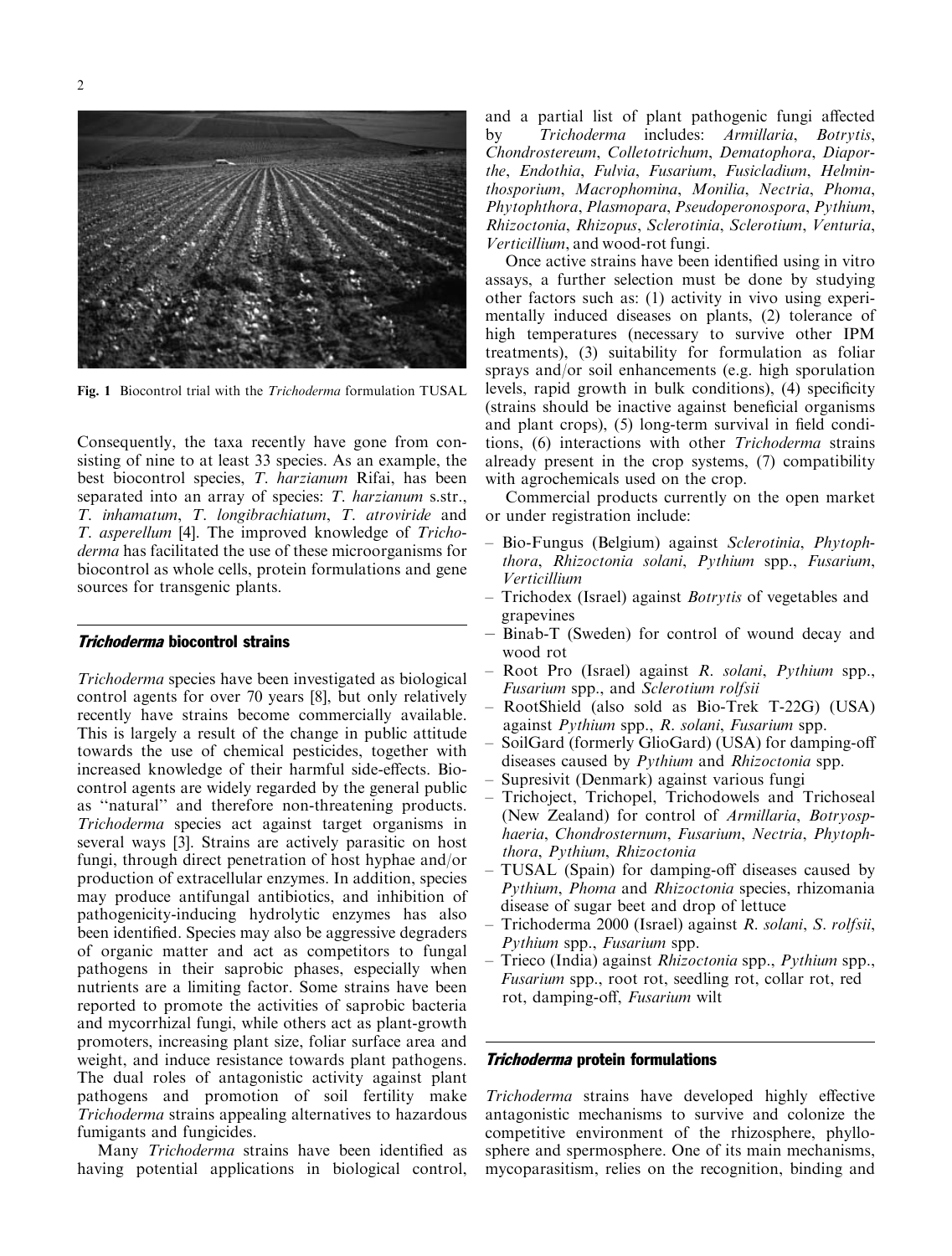

Fig. 1 Biocontrol trial with the Trichoderma formulation TUSAL

Consequently, the taxa recently have gone from consisting of nine to at least 33 species. As an example, the best biocontrol species, T. harzianum Rifai, has been separated into an array of species: T. harzianum s.str., T. inhamatum, T. longibrachiatum, T. atroviride and T. asperellum [4]. The improved knowledge of Tricho*derma* has facilitated the use of these microorganisms for biocontrol as whole cells, protein formulations and gene sources for transgenic plants.

#### **Trichoderma biocontrol strains**

*Trichoderma* species have been investigated as biological control agents for over 70 years [8], but only relatively recently have strains become commercially available. This is largely a result of the change in public attitude towards the use of chemical pesticides, together with increased knowledge of their harmful side-effects. Biocontrol agents are widely regarded by the general public as "natural" and therefore non-threatening products. *Trichoderma* species act against target organisms in several ways [3]. Strains are actively parasitic on host fungi, through direct penetration of host hyphae and/or production of extracellular enzymes. In addition, species may produce antifungal antibiotics, and inhibition of pathogenicity-inducing hydrolytic enzymes has also been identified. Species may also be aggressive degraders of organic matter and act as competitors to fungal pathogens in their saprobic phases, especially when nutrients are a limiting factor. Some strains have been reported to promote the activities of saprobic bacteria and mycorrhizal fungi, while others act as plant-growth promoters, increasing plant size, foliar surface area and weight, and induce resistance towards plant pathogens. The dual roles of antagonistic activity against plant pathogens and promotion of soil fertility make Trichoderma strains appealing alternatives to hazardous fumigants and fungicides.

Many *Trichoderma* strains have been identified as having potential applications in biological control, and a partial list of plant pathogenic fungi affected Trichoderma includes: Armillaria, Botrytis, by Chondrostereum, Colletotrichum, Dematophora, Diaporthe, Endothia, Fulvia, Fusarium, Fusicladium, Helminthosporium, Macrophomina, Monilia, Nectria, Phoma, Phytophthora, Plasmopara, Pseudoperonospora, Pythium, Rhizoctonia, Rhizopus, Sclerotinia, Sclerotium, Venturia, Verticillium, and wood-rot fungi.

Once active strains have been identified using in vitro assays, a further selection must be done by studying other factors such as: (1) activity in vivo using experimentally induced diseases on plants, (2) tolerance of high temperatures (necessary to survive other IPM treatments), (3) suitability for formulation as foliar sprays and/or soil enhancements (e.g. high sporulation levels, rapid growth in bulk conditions), (4) specificity (strains should be inactive against beneficial organisms) and plant crops), (5) long-term survival in field conditions, (6) interactions with other *Trichoderma* strains already present in the crop systems, (7) compatibility with agrochemicals used on the crop.

Commercial products currently on the open market or under registration include:

- Bio-Fungus (Belgium) against Sclerotinia, Phytophthora, Rhizoctonia solani, Pythium spp., Fusarium, Verticillium
- Trichodex (Israel) against *Botrytis* of vegetables and grapevines
- Binab-T (Sweden) for control of wound decay and wood rot
- Root Pro (Israel) against R. solani, Pythium spp., Fusarium spp., and Sclerotium rolfsii
- RootShield (also sold as Bio-Trek T-22G) (USA) against Pythium spp., R. solani, Fusarium spp.
- SoilGard (formerly GlioGard) (USA) for damping-off diseases caused by *Pythium* and *Rhizoctonia* spp.
- Supresivit (Denmark) against various fungi
- Trichoject, Trichopel, Trichodowels and Trichoseal (New Zealand) for control of *Armillaria*, *Botryosp*haeria, Chondrosternum, Fusarium, Nectria, Phytophthora, Pythium, Rhizoctonia
- TUSAL (Spain) for damping-off diseases caused by Pythium, Phoma and Rhizoctonia species, rhizomania disease of sugar beet and drop of lettuce
- Trichoderma 2000 (Israel) against R. solani, S. rolfsii, Pythium spp., Fusarium spp.
- Trieco (India) against *Rhizoctonia* spp., *Pythium* spp., *Fusarium* spp., root rot, seedling rot, collar rot, red rot, damping-off, Fusarium wilt

#### *Trichoderma* protein formulations

*Trichoderma* strains have developed highly effective antagonistic mechanisms to survive and colonize the competitive environment of the rhizosphere, phyllosphere and spermosphere. One of its main mechanisms, mycoparasitism, relies on the recognition, binding and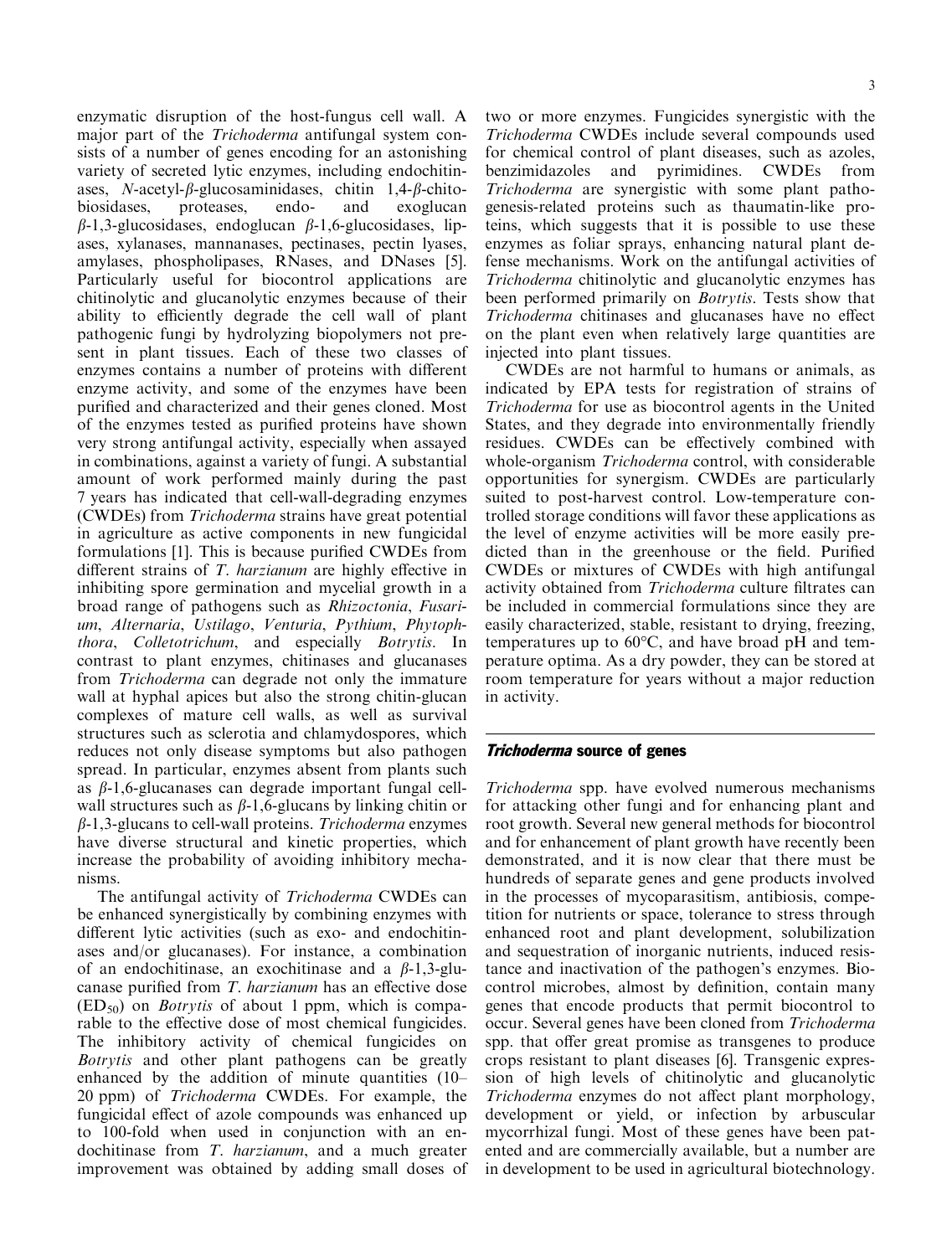enzymatic disruption of the host-fungus cell wall. A major part of the Trichoderma antifungal system consists of a number of genes encoding for an astonishing variety of secreted lytic enzymes, including endochitinases, *N*-acetyl- $\beta$ -glucosaminidases, chitin 1,4- $\beta$ -chitobiosidases, proteases, endoand exoglucan  $\beta$ -1,3-glucosidases, endoglucan  $\beta$ -1,6-glucosidases, lipases, xylanases, mannanases, pectinases, pectin lyases, amylases, phospholipases, RNases, and DNases [5]. Particularly useful for biocontrol applications are chitinolytic and glucanolytic enzymes because of their ability to efficiently degrade the cell wall of plant pathogenic fungi by hydrolyzing biopolymers not present in plant tissues. Each of these two classes of enzymes contains a number of proteins with different enzyme activity, and some of the enzymes have been purified and characterized and their genes cloned. Most of the enzymes tested as purified proteins have shown very strong antifungal activity, especially when assayed in combinations, against a variety of fungi. A substantial amount of work performed mainly during the past 7 years has indicated that cell-wall-degrading enzymes (CWDEs) from Trichoderma strains have great potential in agriculture as active components in new fungicidal formulations [1]. This is because purified CWDEs from different strains of T. harzianum are highly effective in inhibiting spore germination and mycelial growth in a broad range of pathogens such as Rhizoctonia, Fusarium, Alternaria, Ustilago, Venturia, Pythium, Phytoph*thora*, *Colletotrichum*, and especially *Botrytis*. In contrast to plant enzymes, chitinases and glucanases from *Trichoderma* can degrade not only the immature wall at hyphal apices but also the strong chitin-glucan complexes of mature cell walls, as well as survival structures such as sclerotia and chlamydospores, which reduces not only disease symptoms but also pathogen spread. In particular, enzymes absent from plants such as  $\beta$ -1,6-glucanases can degrade important fungal cellwall structures such as  $\beta$ -1,6-glucans by linking chitin or  $\beta$ -1,3-glucans to cell-wall proteins. Trichoderma enzymes have diverse structural and kinetic properties, which increase the probability of avoiding inhibitory mechanisms.

The antifungal activity of *Trichoderma* CWDEs can be enhanced synergistically by combining enzymes with different lytic activities (such as exo- and endochitinases and/or glucanases). For instance, a combination of an endochitinase, an exochitinase and a  $\beta$ -1,3-glucanase purified from T. *harzianum* has an effective dose  $(ED_{50})$  on *Botrytis* of about 1 ppm, which is comparable to the effective dose of most chemical fungicides. The inhibitory activity of chemical fungicides on Botrytis and other plant pathogens can be greatly enhanced by the addition of minute quantities (10– 20 ppm) of *Trichoderma* CWDEs. For example, the fungicidal effect of azole compounds was enhanced up to 100-fold when used in conjunction with an endochitinase from T. *harzianum*, and a much greater improvement was obtained by adding small doses of two or more enzymes. Fungicides synergistic with the Trichoderma CWDEs include several compounds used for chemical control of plant diseases, such as azoles, benzimidazoles and pyrimidines. CWDEs from Trichoderma are synergistic with some plant pathogenesis-related proteins such as thaumatin-like proteins, which suggests that it is possible to use these enzymes as foliar sprays, enhancing natural plant defense mechanisms. Work on the antifungal activities of *Trichoderma* chitinolytic and glucanolytic enzymes has been performed primarily on *Botrytis*. Tests show that *Trichoderma* chitinases and glucanases have no effect on the plant even when relatively large quantities are injected into plant tissues.

CWDEs are not harmful to humans or animals, as indicated by EPA tests for registration of strains of *Trichoderma* for use as biocontrol agents in the United States, and they degrade into environmentally friendly residues. CWDEs can be effectively combined with whole-organism Trichoderma control, with considerable opportunities for synergism. CWDEs are particularly suited to post-harvest control. Low-temperature controlled storage conditions will favor these applications as the level of enzyme activities will be more easily predicted than in the greenhouse or the field. Purified CWDEs or mixtures of CWDEs with high antifungal activity obtained from Trichoderma culture filtrates can be included in commercial formulations since they are easily characterized, stable, resistant to drying, freezing, temperatures up to  $60^{\circ}$ C, and have broad pH and temperature optima. As a dry powder, they can be stored at room temperature for years without a major reduction in activity.

#### **Trichoderma source of genes**

Trichoderma spp. have evolved numerous mechanisms for attacking other fungi and for enhancing plant and root growth. Several new general methods for biocontrol and for enhancement of plant growth have recently been demonstrated, and it is now clear that there must be hundreds of separate genes and gene products involved in the processes of mycoparasitism, antibiosis, competition for nutrients or space, tolerance to stress through enhanced root and plant development, solubilization and sequestration of inorganic nutrients, induced resistance and inactivation of the pathogen's enzymes. Biocontrol microbes, almost by definition, contain many genes that encode products that permit biocontrol to occur. Several genes have been cloned from Trichoderma spp. that offer great promise as transgenes to produce crops resistant to plant diseases [6]. Transgenic expression of high levels of chitinolytic and glucanolytic *Trichoderma* enzymes do not affect plant morphology, development or yield, or infection by arbuscular mycorrhizal fungi. Most of these genes have been patented and are commercially available, but a number are in development to be used in agricultural biotechnology.